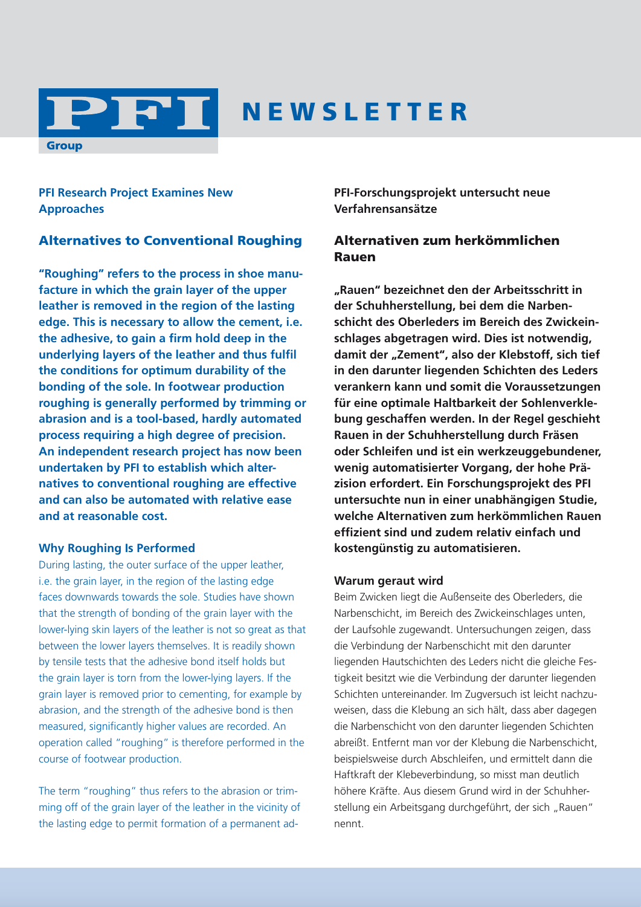

## N E W S L E T T E R

**PFI Research Project Examines New Approaches**

#### Alternatives to Conventional Roughing

**"Roughing" refers to the process in shoe manufacture in which the grain layer of the upper leather is removed in the region of the lasting edge. This is necessary to allow the cement, i.e. the adhesive, to gain a firm hold deep in the underlying layers of the leather and thus fulfil the conditions for optimum durability of the bonding of the sole. In footwear production roughing is generally performed by trimming or abrasion and is a tool-based, hardly automated process requiring a high degree of precision. An independent research project has now been undertaken by PFI to establish which alternatives to conventional roughing are effective and can also be automated with relative ease and at reasonable cost.**

#### **Why Roughing Is Performed**

During lasting, the outer surface of the upper leather, i.e. the grain layer, in the region of the lasting edge faces downwards towards the sole. Studies have shown that the strength of bonding of the grain layer with the lower-lying skin layers of the leather is not so great as that between the lower layers themselves. It is readily shown by tensile tests that the adhesive bond itself holds but the grain layer is torn from the lower-lying layers. If the grain layer is removed prior to cementing, for example by abrasion, and the strength of the adhesive bond is then measured, significantly higher values are recorded. An operation called "roughing" is therefore performed in the course of footwear production.

The term "roughing" thus refers to the abrasion or trimming off of the grain layer of the leather in the vicinity of the lasting edge to permit formation of a permanent ad**PFI-Forschungsprojekt untersucht neue Verfahrensansätze**

#### Alternativen zum herkömmlichen Rauen

**"Rauen" bezeichnet den der Arbeitsschritt in der Schuhherstellung, bei dem die Narbenschicht des Oberleders im Bereich des Zwickeinschlages abgetragen wird. Dies ist notwendig, damit der "Zement", also der Klebstoff, sich tief in den darunter liegenden Schichten des Leders verankern kann und somit die Voraussetzungen für eine optimale Haltbarkeit der Sohlenverklebung geschaffen werden. In der Regel geschieht Rauen in der Schuhherstellung durch Fräsen oder Schleifen und ist ein werkzeuggebundener, wenig automatisierter Vorgang, der hohe Präzision erfordert. Ein Forschungsprojekt des PFI untersuchte nun in einer unabhängigen Studie, welche Alternativen zum herkömmlichen Rauen effizient sind und zudem relativ einfach und kostengünstig zu automatisieren.**

#### **Warum geraut wird**

Beim Zwicken liegt die Außenseite des Oberleders, die Narbenschicht, im Bereich des Zwickeinschlages unten, der Laufsohle zugewandt. Untersuchungen zeigen, dass die Verbindung der Narbenschicht mit den darunter liegenden Hautschichten des Leders nicht die gleiche Festigkeit besitzt wie die Verbindung der darunter liegenden Schichten untereinander. Im Zugversuch ist leicht nachzuweisen, dass die Klebung an sich hält, dass aber dagegen die Narbenschicht von den darunter liegenden Schichten abreißt. Entfernt man vor der Klebung die Narbenschicht, beispielsweise durch Abschleifen, und ermittelt dann die Haftkraft der Klebeverbindung, so misst man deutlich höhere Kräfte. Aus diesem Grund wird in der Schuhherstellung ein Arbeitsgang durchgeführt, der sich "Rauen" nennt.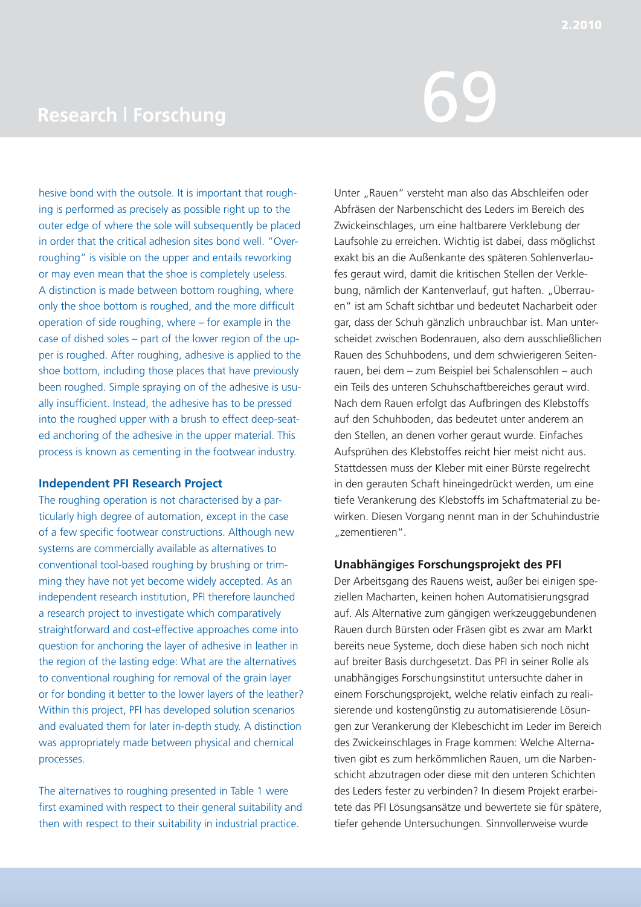# Research | Forschung<br>
Research | Forschung

hesive bond with the outsole. It is important that roughing is performed as precisely as possible right up to the outer edge of where the sole will subsequently be placed in order that the critical adhesion sites bond well. "Overroughing" is visible on the upper and entails reworking or may even mean that the shoe is completely useless. A distinction is made between bottom roughing, where only the shoe bottom is roughed, and the more difficult operation of side roughing, where – for example in the case of dished soles – part of the lower region of the upper is roughed. After roughing, adhesive is applied to the shoe bottom, including those places that have previously been roughed. Simple spraying on of the adhesive is usually insufficient. Instead, the adhesive has to be pressed into the roughed upper with a brush to effect deep-seated anchoring of the adhesive in the upper material. This process is known as cementing in the footwear industry.

#### **Independent PFI Research Project**

The roughing operation is not characterised by a particularly high degree of automation, except in the case of a few specific footwear constructions. Although new systems are commercially available as alternatives to conventional tool-based roughing by brushing or trimming they have not yet become widely accepted. As an independent research institution, PFI therefore launched a research project to investigate which comparatively straightforward and cost-effective approaches come into question for anchoring the layer of adhesive in leather in the region of the lasting edge: What are the alternatives to conventional roughing for removal of the grain layer or for bonding it better to the lower layers of the leather? Within this project, PFI has developed solution scenarios and evaluated them for later in-depth study. A distinction was appropriately made between physical and chemical processes.

The alternatives to roughing presented in Table 1 were first examined with respect to their general suitability and then with respect to their suitability in industrial practice.

Unter "Rauen" versteht man also das Abschleifen oder Abfräsen der Narbenschicht des Leders im Bereich des Zwickeinschlages, um eine haltbarere Verklebung der Laufsohle zu erreichen. Wichtig ist dabei, dass möglichst exakt bis an die Außenkante des späteren Sohlenverlaufes geraut wird, damit die kritischen Stellen der Verklebung, nämlich der Kantenverlauf, gut haften. "Überrauen" ist am Schaft sichtbar und bedeutet Nacharbeit oder gar, dass der Schuh gänzlich unbrauchbar ist. Man unterscheidet zwischen Bodenrauen, also dem ausschließlichen Rauen des Schuhbodens, und dem schwierigeren Seitenrauen, bei dem – zum Beispiel bei Schalensohlen – auch ein Teils des unteren Schuhschaftbereiches geraut wird. Nach dem Rauen erfolgt das Aufbringen des Klebstoffs auf den Schuhboden, das bedeutet unter anderem an den Stellen, an denen vorher geraut wurde. Einfaches Aufsprühen des Klebstoffes reicht hier meist nicht aus. Stattdessen muss der Kleber mit einer Bürste regelrecht in den gerauten Schaft hineingedrückt werden, um eine tiefe Verankerung des Klebstoffs im Schaftmaterial zu bewirken. Diesen Vorgang nennt man in der Schuhindustrie "zementieren".

#### **Unabhängiges Forschungsprojekt des PFI**

Der Arbeitsgang des Rauens weist, außer bei einigen speziellen Macharten, keinen hohen Automatisierungsgrad auf. Als Alternative zum gängigen werkzeuggebundenen Rauen durch Bürsten oder Fräsen gibt es zwar am Markt bereits neue Systeme, doch diese haben sich noch nicht auf breiter Basis durchgesetzt. Das PFI in seiner Rolle als unabhängiges Forschungsinstitut untersuchte daher in einem Forschungsprojekt, welche relativ einfach zu realisierende und kostengünstig zu automatisierende Lösungen zur Verankerung der Klebeschicht im Leder im Bereich des Zwickeinschlages in Frage kommen: Welche Alternativen gibt es zum herkömmlichen Rauen, um die Narbenschicht abzutragen oder diese mit den unteren Schichten des Leders fester zu verbinden? In diesem Projekt erarbeitete das PFI Lösungsansätze und bewertete sie für spätere, tiefer gehende Untersuchungen. Sinnvollerweise wurde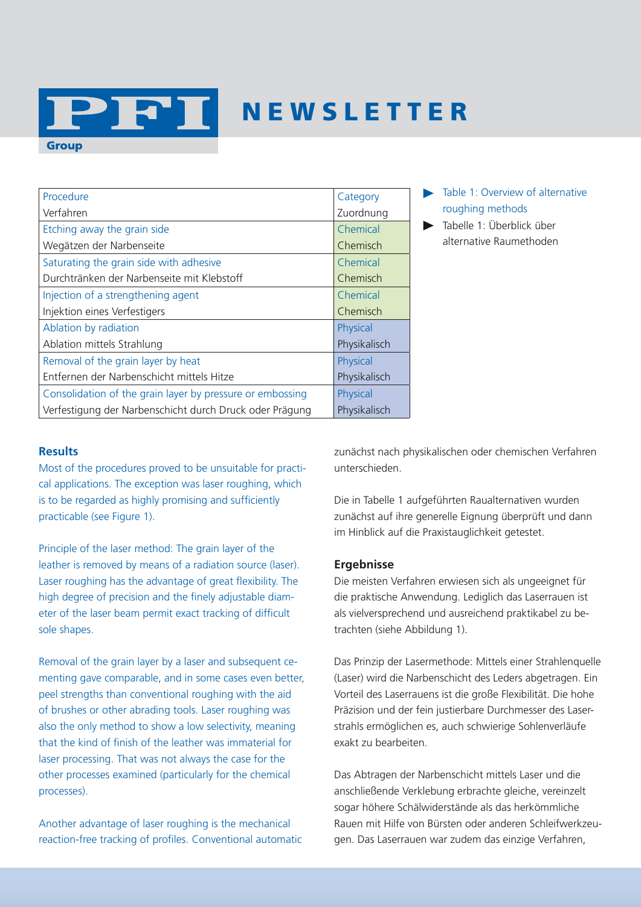## N E W S L E T T E R

| Procedure                                                 | Category     |
|-----------------------------------------------------------|--------------|
| Verfahren                                                 | Zuordnung    |
| Etching away the grain side                               | Chemical     |
| Wegätzen der Narbenseite                                  | Chemisch     |
| Saturating the grain side with adhesive                   | Chemical     |
| Durchtränken der Narbenseite mit Klebstoff                | Chemisch     |
| Injection of a strengthening agent                        | Chemical     |
| Injektion eines Verfestigers                              | Chemisch     |
| Ablation by radiation                                     | Physical     |
| Ablation mittels Strahlung                                | Physikalisch |
| Removal of the grain layer by heat                        | Physical     |
| Entfernen der Narbenschicht mittels Hitze                 | Physikalisch |
| Consolidation of the grain layer by pressure or embossing | Physical     |
| Verfestigung der Narbenschicht durch Druck oder Prägung   | Physikalisch |

- Table 1: Overview of alternative roughing methods
- Tabelle 1: Überblick über alternative Raumethoden

#### **Results**

**Group** 

Most of the procedures proved to be unsuitable for practical applications. The exception was laser roughing, which is to be regarded as highly promising and sufficiently practicable (see Figure 1).

21 21 1

Principle of the laser method: The grain layer of the leather is removed by means of a radiation source (laser). Laser roughing has the advantage of great flexibility. The high degree of precision and the finely adjustable diameter of the laser beam permit exact tracking of difficult sole shapes.

Removal of the grain layer by a laser and subsequent cementing gave comparable, and in some cases even better, peel strengths than conventional roughing with the aid of brushes or other abrading tools. Laser roughing was also the only method to show a low selectivity, meaning that the kind of finish of the leather was immaterial for laser processing. That was not always the case for the other processes examined (particularly for the chemical processes).

Another advantage of laser roughing is the mechanical reaction-free tracking of profiles. Conventional automatic zunächst nach physikalischen oder chemischen Verfahren unterschieden.

Die in Tabelle 1 aufgeführten Raualternativen wurden zunächst auf ihre generelle Eignung überprüft und dann im Hinblick auf die Praxistauglichkeit getestet.

#### **Ergebnisse**

Die meisten Verfahren erwiesen sich als ungeeignet für die praktische Anwendung. Lediglich das Laserrauen ist als vielversprechend und ausreichend praktikabel zu betrachten (siehe Abbildung 1).

Das Prinzip der Lasermethode: Mittels einer Strahlenquelle (Laser) wird die Narbenschicht des Leders abgetragen. Ein Vorteil des Laserrauens ist die große Flexibilität. Die hohe Präzision und der fein justierbare Durchmesser des Laserstrahls ermöglichen es, auch schwierige Sohlenverläufe exakt zu bearbeiten.

Das Abtragen der Narbenschicht mittels Laser und die anschließende Verklebung erbrachte gleiche, vereinzelt sogar höhere Schälwiderstände als das herkömmliche Rauen mit Hilfe von Bürsten oder anderen Schleifwerkzeugen. Das Laserrauen war zudem das einzige Verfahren,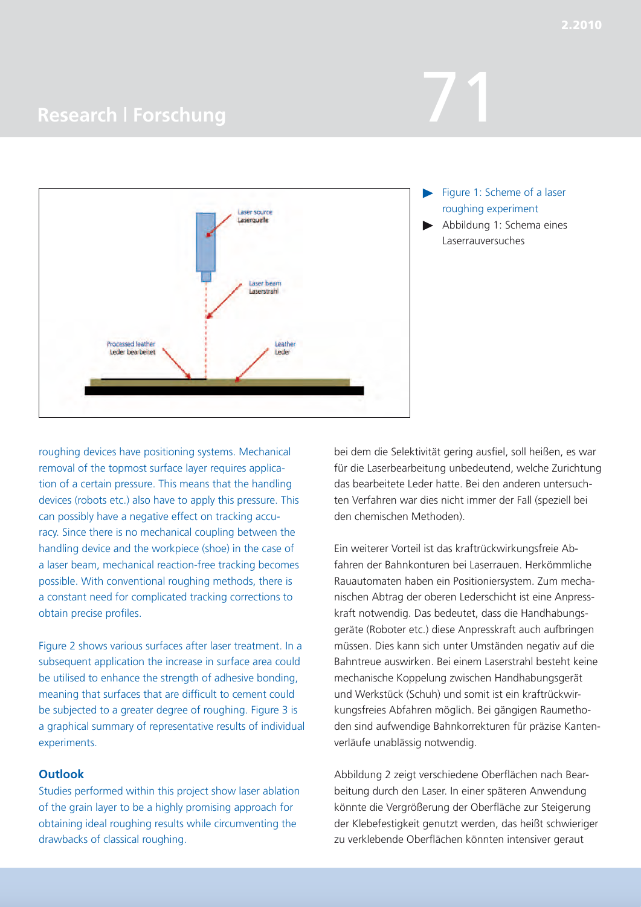### **Research | Forschung**

roughing devices have positioning systems. Mechanical removal of the topmost surface layer requires application of a certain pressure. This means that the handling devices (robots etc.) also have to apply this pressure. This can possibly have a negative effect on tracking accuracy. Since there is no mechanical coupling between the handling device and the workpiece (shoe) in the case of a laser beam, mechanical reaction-free tracking becomes possible. With conventional roughing methods, there is a constant need for complicated tracking corrections to obtain precise profiles.

Figure 2 shows various surfaces after laser treatment. In a subsequent application the increase in surface area could be utilised to enhance the strength of adhesive bonding, meaning that surfaces that are difficult to cement could be subjected to a greater degree of roughing. Figure 3 is a graphical summary of representative results of individual experiments.

#### **Outlook**

Studies performed within this project show laser ablation of the grain layer to be a highly promising approach for obtaining ideal roughing results while circumventing the drawbacks of classical roughing.

bei dem die Selektivität gering ausfiel, soll heißen, es war für die Laserbearbeitung unbedeutend, welche Zurichtung das bearbeitete Leder hatte. Bei den anderen untersuchten Verfahren war dies nicht immer der Fall (speziell bei den chemischen Methoden).

Ein weiterer Vorteil ist das kraftrückwirkungsfreie Abfahren der Bahnkonturen bei Laserrauen. Herkömmliche Rauautomaten haben ein Positioniersystem. Zum mechanischen Abtrag der oberen Lederschicht ist eine Anpresskraft notwendig. Das bedeutet, dass die Handhabungsgeräte (Roboter etc.) diese Anpresskraft auch aufbringen müssen. Dies kann sich unter Umständen negativ auf die Bahntreue auswirken. Bei einem Laserstrahl besteht keine mechanische Koppelung zwischen Handhabungsgerät und Werkstück (Schuh) und somit ist ein kraftrückwirkungsfreies Abfahren möglich. Bei gängigen Raumethoden sind aufwendige Bahnkorrekturen für präzise Kantenverläufe unablässig notwendig.

Abbildung 2 zeigt verschiedene Oberflächen nach Bearbeitung durch den Laser. In einer späteren Anwendung könnte die Vergrößerung der Oberfläche zur Steigerung der Klebefestigkeit genutzt werden, das heißt schwieriger zu verklebende Oberflächen könnten intensiver geraut



- Figure 1: Scheme of a laser roughing experiment
- Abbildung 1: Schema eines Laserrauversuches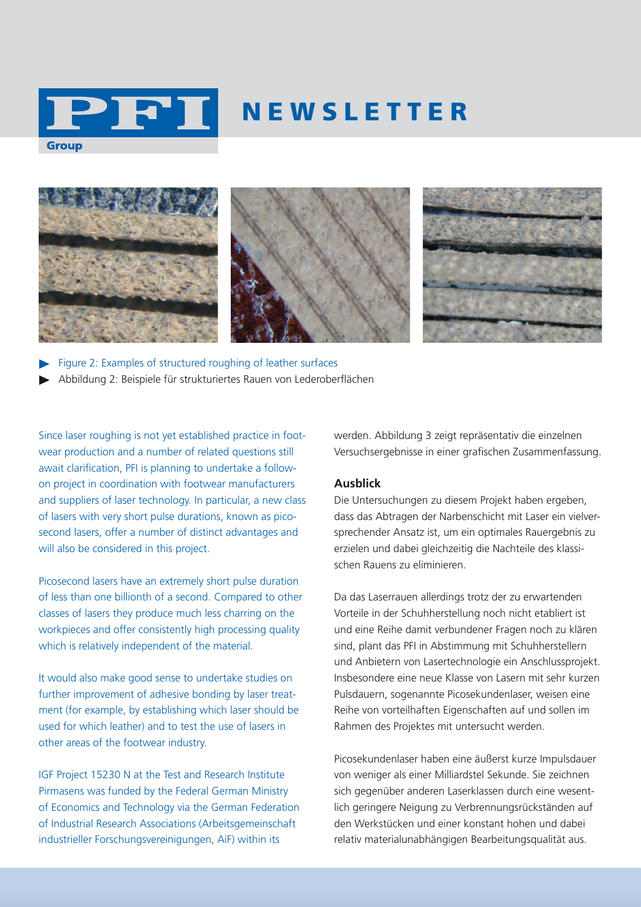

## N E W S L E T T E R







Figure 2: Examples of structured roughing of leather surfaces Abbildung 2: Beispiele für strukturiertes Rauen von Lederoberflächen

Since laser roughing is not yet established practice in footwear production and a number of related questions still await clarification, PFI is planning to undertake a followon project in coordination with footwear manufacturers and suppliers of laser technology. In particular, a new class of lasers with very short pulse durations, known as picosecond lasers, offer a number of distinct advantages and will also be considered in this project.

Picosecond lasers have an extremely short pulse duration of less than one billionth of a second. Compared to other classes of lasers they produce much less charring on the workpieces and offer consistently high processing quality which is relatively independent of the material.

It would also make good sense to undertake studies on further improvement of adhesive bonding by laser treatment (for example, by establishing which laser should be used for which leather) and to test the use of lasers in other areas of the footwear industry.

IGF Project 15230 N at the Test and Research Institute Pirmasens was funded by the Federal German Ministry of Economics and Technology via the German Federation of Industrial Research Associations (Arbeitsgemeinschaft industrieller Forschungsvereinigungen, AiF) within its

werden. Abbildung 3 zeigt repräsentativ die einzelnen Versuchsergebnisse in einer grafischen Zusammenfassung.

#### **Ausblick**

Die Untersuchungen zu diesem Projekt haben ergeben, dass das Abtragen der Narbenschicht mit Laser ein vielversprechender Ansatz ist, um ein optimales Rauergebnis zu erzielen und dabei gleichzeitig die Nachteile des klassischen Rauens zu eliminieren.

Da das Laserrauen allerdings trotz der zu erwartenden Vorteile in der Schuhherstellung noch nicht etabliert ist und eine Reihe damit verbundener Fragen noch zu klären sind, plant das PFI in Abstimmung mit Schuhherstellern und Anbietern von Lasertechnologie ein Anschlussprojekt. Insbesondere eine neue Klasse von Lasern mit sehr kurzen Pulsdauern, sogenannte Picosekundenlaser, weisen eine Reihe von vorteilhaften Eigenschaften auf und sollen im Rahmen des Projektes mit untersucht werden.

Picosekundenlaser haben eine äußerst kurze Impulsdauer von weniger als einer Milliardstel Sekunde. Sie zeichnen sich gegenüber anderen Laserklassen durch eine wesentlich geringere Neigung zu Verbrennungsrückständen auf den Werkstücken und einer konstant hohen und dabei relativ materialunabhängigen Bearbeitungsqualität aus.